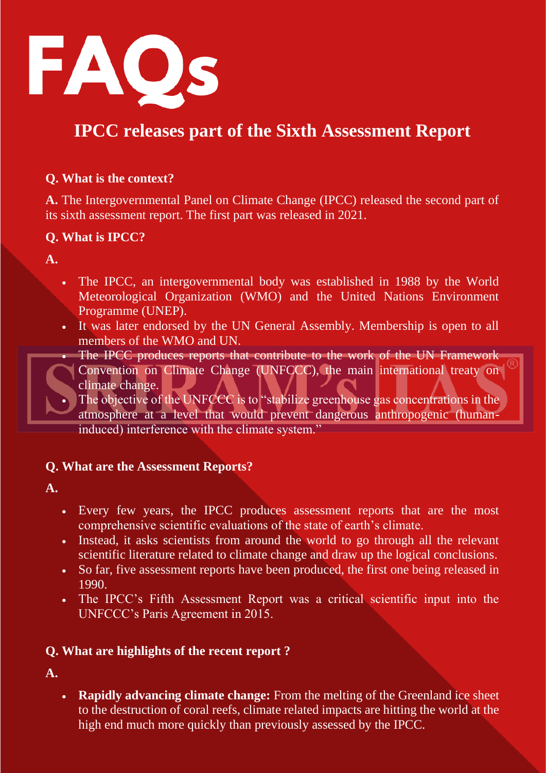

## **IPCC releases part of the Sixth Assessment Report**

#### **Q. What is the context?**

**A.** The Intergovernmental Panel on Climate Change (IPCC) released the second part of its sixth assessment report. The first part was released in 2021.

#### **Q. What is IPCC?**

**A.**

- The IPCC, an intergovernmental body was established in 1988 by the World Meteorological Organization (WMO) and the United Nations Environment Programme (UNEP).
- It was later endorsed by the UN General Assembly. Membership is open to all members of the WMO and UN.
	- The IPCC produces reports that contribute to the work of the UN Framework Convention on Climate Change (UNFCCC), the main international treaty on climate change.
- The objective of the UNFCCC is to "stabilize greenhouse gas concentrations in the atmosphere at a level that would prevent dangerous anthropogenic (humaninduced) interference with the climate system."

#### **Q. What are the Assessment Reports?**

**A.**

- Every few years, the IPCC produces assessment reports that are the most comprehensive scientific evaluations of the state of earth's climate.
- Instead, it asks scientists from around the world to go through all the relevant scientific literature related to climate change and draw up the logical conclusions.
- So far, five assessment reports have been produced, the first one being released in 1990.
- The IPCC's Fifth Assessment Report was a critical scientific input into the UNFCCC's Paris Agreement in 2015.

#### **Q. What are highlights of the recent report ?**

**A.**

• **Rapidly advancing climate change:** From the melting of the Greenland ice sheet to the destruction of coral reefs, climate related impacts are hitting the world at the high end much more quickly than previously assessed by the IPCC.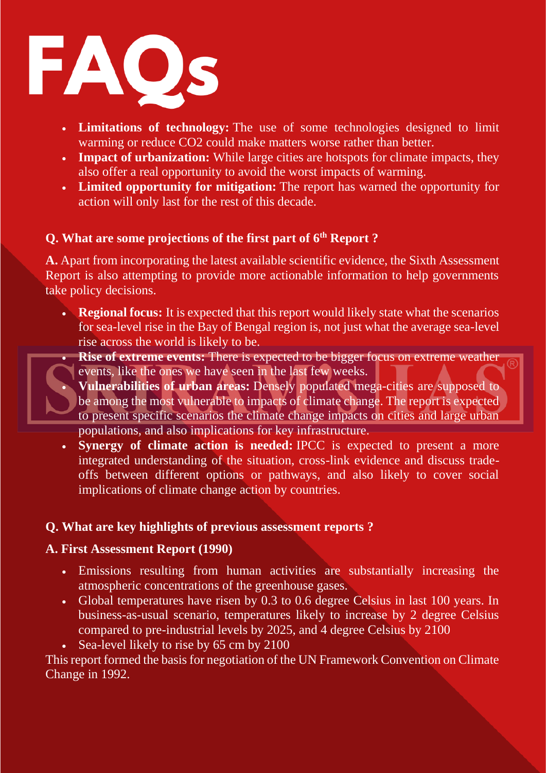

- **Limitations of technology:** The use of some technologies designed to limit warming or reduce CO2 could make matters worse rather than better.
- **Impact of urbanization:** While large cities are hotspots for climate impacts, they also offer a real opportunity to avoid the worst impacts of warming.
- **Limited opportunity for mitigation:** The report has warned the opportunity for action will only last for the rest of this decade.

#### **Q. What are some projections of the first part of 6th Report ?**

**A.** Apart from incorporating the latest available scientific evidence, the Sixth Assessment Report is also attempting to provide more actionable information to help governments take policy decisions.

- **Regional focus:** It is expected that this report would likely state what the scenarios for sea-level rise in the Bay of Bengal region is, not just what the average sea-level rise across the world is likely to be.
	- **Rise of extreme events:** There is expected to be bigger focus on extreme weather events, like the ones we have seen in the last few weeks.
	- **Vulnerabilities of urban areas:** Densely populated mega-cities are supposed to be among the most vulnerable to impacts of climate change. The report is expected to present specific scenarios the climate change impacts on cities and large urban populations, and also implications for key infrastructure.
- **Synergy of climate action is needed:** IPCC is expected to present a more integrated understanding of the situation, cross-link evidence and discuss tradeoffs between different options or pathways, and also likely to cover social implications of climate change action by countries.

#### **Q. What are key highlights of previous assessment reports ?**

#### **A. First Assessment Report (1990)**

- Emissions resulting from human activities are substantially increasing the atmospheric concentrations of the greenhouse gases.
- Global temperatures have risen by 0.3 to 0.6 degree Celsius in last 100 years. In business-as-usual scenario, temperatures likely to increase by 2 degree Celsius compared to pre-industrial levels by 2025, and 4 degree Celsius by 2100
- Sea-level likely to rise by 65 cm by 2100

This report formed the basis for negotiation of the UN Framework Convention on Climate Change in 1992.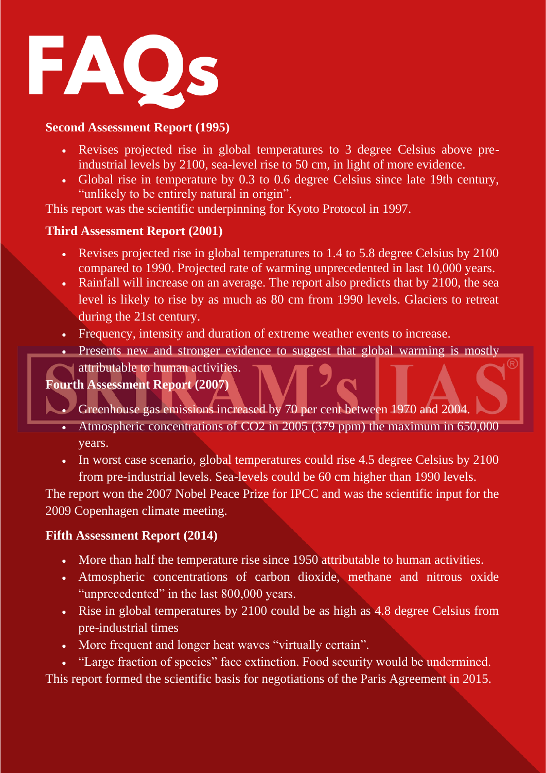

#### **Second Assessment Report (1995)**

- Revises projected rise in global temperatures to 3 degree Celsius above preindustrial levels by 2100, sea-level rise to 50 cm, in light of more evidence.
- Global rise in temperature by 0.3 to 0.6 degree Celsius since late 19th century, "unlikely to be entirely natural in origin".

This report was the scientific underpinning for Kyoto Protocol in 1997.

#### **Third Assessment Report (2001)**

- Revises projected rise in global temperatures to 1.4 to 5.8 degree Celsius by 2100 compared to 1990. Projected rate of warming unprecedented in last 10,000 years.
- Rainfall will increase on an average. The report also predicts that by 2100, the sea level is likely to rise by as much as 80 cm from 1990 levels. Glaciers to retreat during the 21st century.
- Frequency, intensity and duration of extreme weather events to increase.
- Presents new and stronger evidence to suggest that global warming is mostly

### attributable to human activities.

#### **Fourth Assessment Report (2007)**

- Greenhouse gas emissions increased by 70 per cent between 1970 and 2004.
	- Atmospheric concentrations of CO2 in 2005 (379 ppm) the maximum in 650,000 years.
	- In worst case scenario, global temperatures could rise 4.5 degree Celsius by 2100 from pre-industrial levels. Sea-levels could be 60 cm higher than 1990 levels.

The report won the 2007 Nobel Peace Prize for IPCC and was the scientific input for the 2009 Copenhagen climate meeting.

#### **Fifth Assessment Report (2014)**

- More than half the temperature rise since 1950 attributable to human activities.
- Atmospheric concentrations of carbon dioxide, methane and nitrous oxide "unprecedented" in the last 800,000 years.
- Rise in global temperatures by 2100 could be as high as 4.8 degree Celsius from pre-industrial times
- More frequent and longer heat waves "virtually certain".

• "Large fraction of species" face extinction. Food security would be undermined. This report formed the scientific basis for negotiations of the Paris Agreement in 2015.